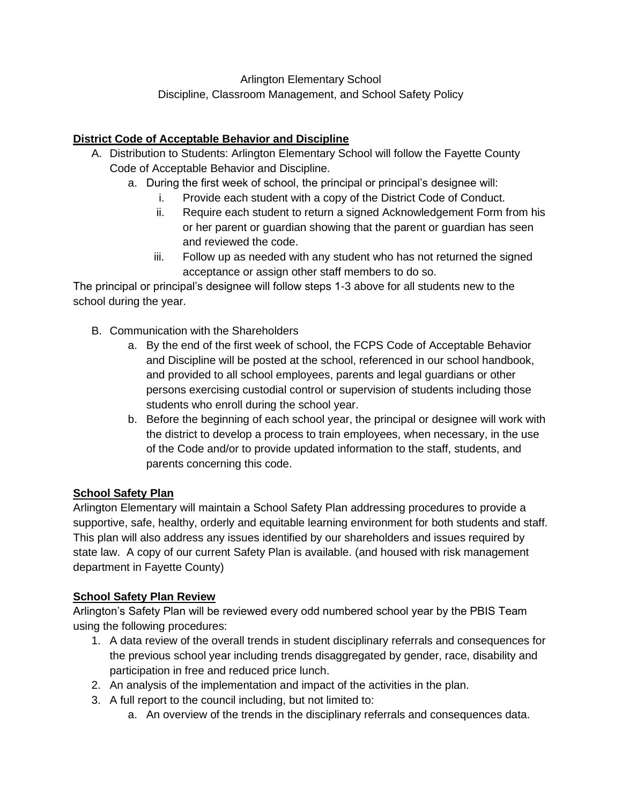Arlington Elementary School Discipline, Classroom Management, and School Safety Policy

# **District Code of Acceptable Behavior and Discipline**

- A. Distribution to Students: Arlington Elementary School will follow the Fayette County Code of Acceptable Behavior and Discipline.
	- a. During the first week of school, the principal or principal's designee will:
		- i. Provide each student with a copy of the District Code of Conduct.
		- ii. Require each student to return a signed Acknowledgement Form from his or her parent or guardian showing that the parent or guardian has seen and reviewed the code.
		- iii. Follow up as needed with any student who has not returned the signed acceptance or assign other staff members to do so.

The principal or principal's designee will follow steps 1-3 above for all students new to the school during the year.

- B. Communication with the Shareholders
	- a. By the end of the first week of school, the FCPS Code of Acceptable Behavior and Discipline will be posted at the school, referenced in our school handbook, and provided to all school employees, parents and legal guardians or other persons exercising custodial control or supervision of students including those students who enroll during the school year.
	- b. Before the beginning of each school year, the principal or designee will work with the district to develop a process to train employees, when necessary, in the use of the Code and/or to provide updated information to the staff, students, and parents concerning this code.

# **School Safety Plan**

Arlington Elementary will maintain a School Safety Plan addressing procedures to provide a supportive, safe, healthy, orderly and equitable learning environment for both students and staff. This plan will also address any issues identified by our shareholders and issues required by state law. A copy of our current Safety Plan is available. (and housed with risk management department in Fayette County)

# **School Safety Plan Review**

Arlington's Safety Plan will be reviewed every odd numbered school year by the PBIS Team using the following procedures:

- 1. A data review of the overall trends in student disciplinary referrals and consequences for the previous school year including trends disaggregated by gender, race, disability and participation in free and reduced price lunch.
- 2. An analysis of the implementation and impact of the activities in the plan.
- 3. A full report to the council including, but not limited to:
	- a. An overview of the trends in the disciplinary referrals and consequences data.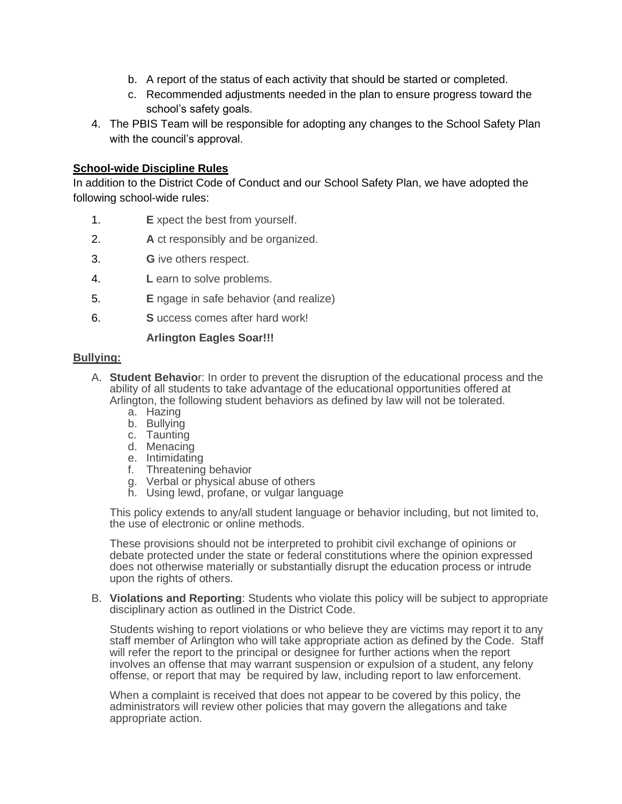- b. A report of the status of each activity that should be started or completed.
- c. Recommended adjustments needed in the plan to ensure progress toward the school's safety goals.
- 4. The PBIS Team will be responsible for adopting any changes to the School Safety Plan with the council's approval.

## **School-wide Discipline Rules**

In addition to the District Code of Conduct and our School Safety Plan, we have adopted the following school-wide rules:

- 1. **E** xpect the best from yourself.
- 2. **A** ct responsibly and be organized.
- 3. **G** ive others respect.
- 4. **L** earn to solve problems.
- 5. **E** ngage in safe behavior (and realize)
- 6. **S** uccess comes after hard work!

## **Arlington Eagles Soar!!!**

## **Bullying:**

- A. **Student Behavio**r: In order to prevent the disruption of the educational process and the ability of all students to take advantage of the educational opportunities offered at Arlington, the following student behaviors as defined by law will not be tolerated.
	- a. Hazing
	- b. Bullying
	- c. Taunting
	- d. Menacing
	- e. Intimidating
	- f. Threatening behavior
	- g. Verbal or physical abuse of others
	- h. Using lewd, profane, or vulgar language

This policy extends to any/all student language or behavior including, but not limited to, the use of electronic or online methods.

These provisions should not be interpreted to prohibit civil exchange of opinions or debate protected under the state or federal constitutions where the opinion expressed does not otherwise materially or substantially disrupt the education process or intrude upon the rights of others.

B. **Violations and Reporting**: Students who violate this policy will be subject to appropriate disciplinary action as outlined in the District Code.

Students wishing to report violations or who believe they are victims may report it to any staff member of Arlington who will take appropriate action as defined by the Code. Staff will refer the report to the principal or designee for further actions when the report involves an offense that may warrant suspension or expulsion of a student, any felony offense, or report that may be required by law, including report to law enforcement.

When a complaint is received that does not appear to be covered by this policy, the administrators will review other policies that may govern the allegations and take appropriate action.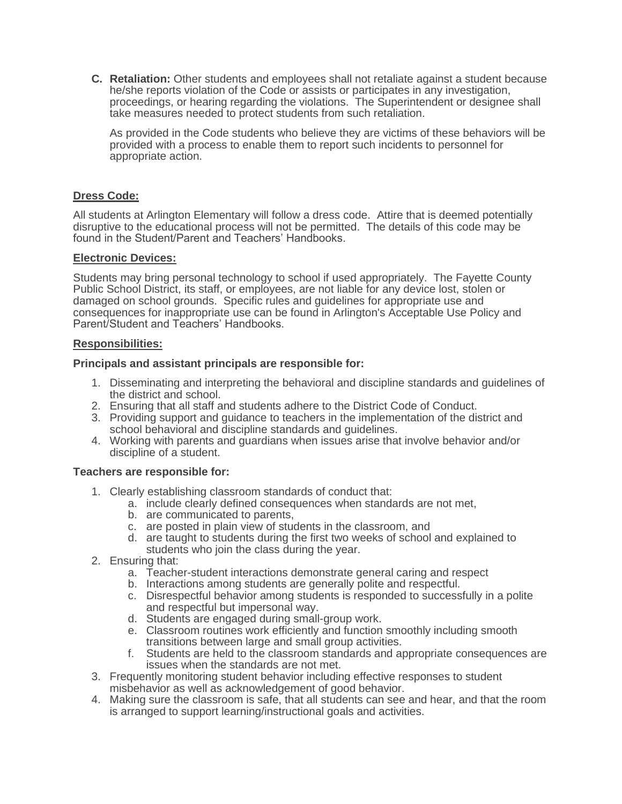**C. Retaliation:** Other students and employees shall not retaliate against a student because he/she reports violation of the Code or assists or participates in any investigation, proceedings, or hearing regarding the violations. The Superintendent or designee shall take measures needed to protect students from such retaliation.

As provided in the Code students who believe they are victims of these behaviors will be provided with a process to enable them to report such incidents to personnel for appropriate action.

## **Dress Code:**

All students at Arlington Elementary will follow a dress code. Attire that is deemed potentially disruptive to the educational process will not be permitted. The details of this code may be found in the Student/Parent and Teachers' Handbooks.

## **Electronic Devices:**

Students may bring personal technology to school if used appropriately. The Fayette County Public School District, its staff, or employees, are not liable for any device lost, stolen or damaged on school grounds. Specific rules and guidelines for appropriate use and consequences for inappropriate use can be found in Arlington's Acceptable Use Policy and Parent/Student and Teachers' Handbooks.

## **Responsibilities:**

## **Principals and assistant principals are responsible for:**

- 1. Disseminating and interpreting the behavioral and discipline standards and guidelines of the district and school.
- 2. Ensuring that all staff and students adhere to the District Code of Conduct.
- 3. Providing support and guidance to teachers in the implementation of the district and school behavioral and discipline standards and guidelines.
- 4. Working with parents and guardians when issues arise that involve behavior and/or discipline of a student.

#### **Teachers are responsible for:**

- 1. Clearly establishing classroom standards of conduct that:
	- a. include clearly defined consequences when standards are not met,
	- b. are communicated to parents,
	- c. are posted in plain view of students in the classroom, and
	- d. are taught to students during the first two weeks of school and explained to students who join the class during the year.
- 2. Ensuring that:
	- a. Teacher-student interactions demonstrate general caring and respect
	- b. Interactions among students are generally polite and respectful.
	- c. Disrespectful behavior among students is responded to successfully in a polite and respectful but impersonal way.
	- d. Students are engaged during small-group work.
	- e. Classroom routines work efficiently and function smoothly including smooth transitions between large and small group activities.
	- f. Students are held to the classroom standards and appropriate consequences are issues when the standards are not met.
- 3. Frequently monitoring student behavior including effective responses to student misbehavior as well as acknowledgement of good behavior.
- 4. Making sure the classroom is safe, that all students can see and hear, and that the room is arranged to support learning/instructional goals and activities.